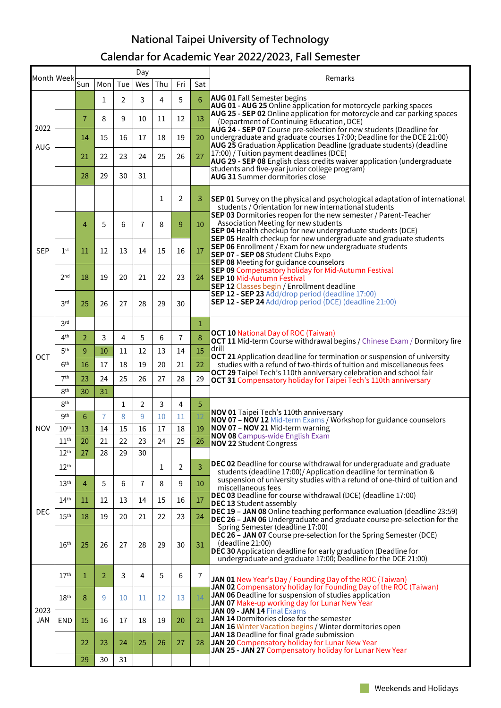## **National Taipei University of Technology Calendar for Academic Year 2022/2023, Fall Semester**

| Sun<br>Tue<br>Thu<br>Fri<br>Sat<br>Mon<br>Wes<br><b>AUG 01 Fall Semester begins</b><br>5<br>6<br>3<br>2<br>4<br>1<br>AUG 01 - AUG 25 Online application for motorcycle parking spaces<br>AUG 25 - SEP 02 Online application for motorcycle and car parking spaces<br>7<br>9<br>12<br>13<br>8<br>10<br>11<br>(Department of Continuing Education, DCE)<br>2022<br>AUG 24 - SEP 07 Course pre-selection for new students (Deadline for<br>undergraduate and graduate courses 17:00; Deadline for the DCE 21:00)<br>19<br>14<br>15<br>16<br>17<br>18<br>20<br>AUG 25 Graduation Application Deadline (graduate students) (deadline<br>AUG<br>17:00) / Tuition payment deadlines (DCE)<br>27<br>26<br>22<br>23<br>24<br>25<br>21<br>AUG 29 - SEP 08 English class credits waiver application (undergraduate<br>students and five-year junior college program)<br>28<br>29<br>30<br>31<br><b>AUG 31</b> Summer dormitories close<br>2<br>1<br>3<br><b>SEP 01</b> Survey on the physical and psychological adaptation of international<br>students / Orientation for new international students<br>SEP 03 Dormitories reopen for the new semester / Parent-Teacher<br>Association Meeting for new students<br>$\overline{7}$<br>5<br>6<br>8<br>9<br>10<br>4<br>SEP 04 Health checkup for new undergraduate students (DCE)<br>SEP 05 Health checkup for new undergraduate and graduate students<br><b>SEP 06</b> Enrollment / Exam for new undergraduate students<br><b>SEP</b><br>1 <sup>st</sup><br>15<br>16<br>17<br>$11\,$<br>12<br>13<br>14<br>SEP 07 - SEP 08 Student Clubs Expo<br>SEP 08 Meeting for guidance counselors<br>SEP 09 Compensatory holiday for Mid-Autumn Festival<br>2 <sub>nd</sub><br>19<br>21<br>22<br>23<br>18<br>20<br>24<br><b>SEP 10 Mid-Autumn Festival</b><br>SEP 12 Classes begin / Enrollment deadline<br><b>SEP 12 - SEP 23</b> Add/drop period (deadline 17:00)<br>SEP 12 - SEP 24 Add/drop period (DCE) (deadline 21:00)<br>3 <sup>rd</sup><br>26<br>28<br>29<br>30<br>25<br>27<br>3 <sup>rd</sup><br>1<br><b>OCT 10 National Day of ROC (Taiwan)</b><br>5<br>8<br>4 <sup>th</sup><br>3<br>4<br>6<br>7<br>2<br><b>OCT 11</b> Mid-term Course withdrawal begins / Chinese Exam / Dormitory fire<br>drill<br>15<br>5 <sup>th</sup><br>9<br>10<br>11<br>12<br>13<br>14<br>OCT<br><b>OCT 21</b> Application deadline for termination or suspension of university<br>6 <sup>th</sup><br>22<br>17<br>18<br>19<br>20<br>21<br>studies with a refund of two-thirds of tuition and miscellaneous fees<br>16<br>OCT 29 Taipei Tech's 110th anniversary celebration and school fair<br>7 <sup>th</sup><br>23<br>24<br>25<br>26<br>27<br>28<br>29<br><b>OCT 31 Compensatory holiday for Taipei Tech's 110th anniversary</b><br>8 <sup>th</sup><br>30<br>31<br>8 <sup>th</sup><br>2<br>3<br>4<br>5<br>1<br>NOV 01 Taipei Tech's 110th anniversary<br>9 <sup>th</sup><br>9<br>6<br>7<br>8<br>10<br>$11\,$<br>NOV 07 - NOV 12 Mid-term Exams / Workshop for guidance counselors<br>NOV 07 - NOV 21 Mid-term warning<br><b>NOV</b><br>18<br>19<br>10 <sup>th</sup><br>15<br>16<br>17<br>13<br>14<br>NOV 08 Campus-wide English Exam<br>11 <sup>th</sup><br>21<br>22<br>23<br>24<br>25<br>26<br>20<br><b>NOV 22 Student Congress</b><br>12 <sup>th</sup><br>27<br>28<br>29<br>30<br><b>DEC 02</b> Deadline for course withdrawal for undergraduate and graduate<br>3<br>12 <sup>th</sup><br>2<br>1<br>students (deadline 17:00)/ Application deadline for termination &<br>suspension of university studies with a refund of one-third of tuition and<br>13 <sup>th</sup><br>5<br>7<br>$10\,$<br>4<br>6<br>8<br>9<br>miscellaneous fees<br>DEC 03 Deadline for course withdrawal (DCE) (deadline 17:00)<br>14 <sup>th</sup><br>12<br>13<br>15<br>16<br>11<br>14<br>17<br><b>DEC 13 Student assembly</b><br>DEC 19 - JAN 08 Online teaching performance evaluation (deadline 23:59)<br><b>DEC</b><br>15 <sup>th</sup><br>20<br>22<br>23<br>18<br>19<br>21<br>24<br>DEC 26 - JAN 06 Undergraduate and graduate course pre-selection for the<br>Spring Semester (deadline 17:00)<br>DEC 26 - JAN 07 Course pre-selection for the Spring Semester (DCE)<br>(deadline 21:00)<br>16 <sup>th</sup><br>30<br>31<br>25<br>26<br>27<br>28<br>29<br>DEC 30 Application deadline for early graduation (Deadline for<br>undergraduate and graduate 17:00; Deadline for the DCE 21:00)<br>17 <sup>th</sup><br>5<br>$\overline{2}$<br>3<br>4<br>6<br>1<br>7<br>JAN 01 New Year's Day / Founding Day of the ROC (Taiwan)<br>JAN 02 Compensatory holiday for Founding Day of the ROC (Taiwan)<br>JAN 06 Deadline for suspension of studies application<br>18 <sup>th</sup><br>14<br>8<br>9<br>12<br>13<br>10<br>11<br>JAN 07 Make-up working day for Lunar New Year<br>2023<br>JAN 09 - JAN 14 Final Exams<br>JAN 14 Dormitories close for the semester<br>JAN<br><b>END</b><br>20<br>21<br>15<br>16<br>17<br>18<br>19<br>JAN 16 Winter Vacation begins / Winter dormitories open<br>JAN 18 Deadline for final grade submission<br>23<br>27<br>JAN 20 Compensatory holiday for Lunar New Year<br>22<br>24<br>25<br>26<br>28<br>JAN 25 - JAN 27 Compensatory holiday for Lunar New Year<br>31<br>29<br>30 | Month Week- |  |  | Day |  |  | Remarks |
|-----------------------------------------------------------------------------------------------------------------------------------------------------------------------------------------------------------------------------------------------------------------------------------------------------------------------------------------------------------------------------------------------------------------------------------------------------------------------------------------------------------------------------------------------------------------------------------------------------------------------------------------------------------------------------------------------------------------------------------------------------------------------------------------------------------------------------------------------------------------------------------------------------------------------------------------------------------------------------------------------------------------------------------------------------------------------------------------------------------------------------------------------------------------------------------------------------------------------------------------------------------------------------------------------------------------------------------------------------------------------------------------------------------------------------------------------------------------------------------------------------------------------------------------------------------------------------------------------------------------------------------------------------------------------------------------------------------------------------------------------------------------------------------------------------------------------------------------------------------------------------------------------------------------------------------------------------------------------------------------------------------------------------------------------------------------------------------------------------------------------------------------------------------------------------------------------------------------------------------------------------------------------------------------------------------------------------------------------------------------------------------------------------------------------------------------------------------------------------------------------------------------------------------------------------------------------------------------------------------------------------------------------------------------------------------------------------------------------------------------------------------------------------------------------------------------------------------------------------------------------------------------------------------------------------------------------------------------------------------------------------------------------------------------------------------------------------------------------------------------------------------------------------------------------------------------------------------------------------------------------------------------------------------------------------------------------------------------------------------------------------------------------------------------------------------------------------------------------------------------------------------------------------------------------------------------------------------------------------------------------------------------------------------------------------------------------------------------------------------------------------------------------------------------------------------------------------------------------------------------------------------------------------------------------------------------------------------------------------------------------------------------------------------------------------------------------------------------------------------------------------------------------------------------------------------------------------------------------------------------------------------------------------------------------------------------------------------------------------------------------------------------------------------------------------------------------------------------------------------------------------------------------------------------------------------------------------------------------------------------------------------------------------------------------------------------------------------------------------------------------------------------------------------------------------------------------------------------------------------------------------------------------------------------------------------------------------------------------------------------------------------------------------------------------------------------------------------------------------------------------------------------------------------------------------------------------------|-------------|--|--|-----|--|--|---------|
|                                                                                                                                                                                                                                                                                                                                                                                                                                                                                                                                                                                                                                                                                                                                                                                                                                                                                                                                                                                                                                                                                                                                                                                                                                                                                                                                                                                                                                                                                                                                                                                                                                                                                                                                                                                                                                                                                                                                                                                                                                                                                                                                                                                                                                                                                                                                                                                                                                                                                                                                                                                                                                                                                                                                                                                                                                                                                                                                                                                                                                                                                                                                                                                                                                                                                                                                                                                                                                                                                                                                                                                                                                                                                                                                                                                                                                                                                                                                                                                                                                                                                                                                                                                                                                                                                                                                                                                                                                                                                                                                                                                                                                                                                                                                                                                                                                                                                                                                                                                                                                                                                                                                                                                                     |             |  |  |     |  |  |         |
|                                                                                                                                                                                                                                                                                                                                                                                                                                                                                                                                                                                                                                                                                                                                                                                                                                                                                                                                                                                                                                                                                                                                                                                                                                                                                                                                                                                                                                                                                                                                                                                                                                                                                                                                                                                                                                                                                                                                                                                                                                                                                                                                                                                                                                                                                                                                                                                                                                                                                                                                                                                                                                                                                                                                                                                                                                                                                                                                                                                                                                                                                                                                                                                                                                                                                                                                                                                                                                                                                                                                                                                                                                                                                                                                                                                                                                                                                                                                                                                                                                                                                                                                                                                                                                                                                                                                                                                                                                                                                                                                                                                                                                                                                                                                                                                                                                                                                                                                                                                                                                                                                                                                                                                                     |             |  |  |     |  |  |         |
|                                                                                                                                                                                                                                                                                                                                                                                                                                                                                                                                                                                                                                                                                                                                                                                                                                                                                                                                                                                                                                                                                                                                                                                                                                                                                                                                                                                                                                                                                                                                                                                                                                                                                                                                                                                                                                                                                                                                                                                                                                                                                                                                                                                                                                                                                                                                                                                                                                                                                                                                                                                                                                                                                                                                                                                                                                                                                                                                                                                                                                                                                                                                                                                                                                                                                                                                                                                                                                                                                                                                                                                                                                                                                                                                                                                                                                                                                                                                                                                                                                                                                                                                                                                                                                                                                                                                                                                                                                                                                                                                                                                                                                                                                                                                                                                                                                                                                                                                                                                                                                                                                                                                                                                                     |             |  |  |     |  |  |         |
|                                                                                                                                                                                                                                                                                                                                                                                                                                                                                                                                                                                                                                                                                                                                                                                                                                                                                                                                                                                                                                                                                                                                                                                                                                                                                                                                                                                                                                                                                                                                                                                                                                                                                                                                                                                                                                                                                                                                                                                                                                                                                                                                                                                                                                                                                                                                                                                                                                                                                                                                                                                                                                                                                                                                                                                                                                                                                                                                                                                                                                                                                                                                                                                                                                                                                                                                                                                                                                                                                                                                                                                                                                                                                                                                                                                                                                                                                                                                                                                                                                                                                                                                                                                                                                                                                                                                                                                                                                                                                                                                                                                                                                                                                                                                                                                                                                                                                                                                                                                                                                                                                                                                                                                                     |             |  |  |     |  |  |         |
|                                                                                                                                                                                                                                                                                                                                                                                                                                                                                                                                                                                                                                                                                                                                                                                                                                                                                                                                                                                                                                                                                                                                                                                                                                                                                                                                                                                                                                                                                                                                                                                                                                                                                                                                                                                                                                                                                                                                                                                                                                                                                                                                                                                                                                                                                                                                                                                                                                                                                                                                                                                                                                                                                                                                                                                                                                                                                                                                                                                                                                                                                                                                                                                                                                                                                                                                                                                                                                                                                                                                                                                                                                                                                                                                                                                                                                                                                                                                                                                                                                                                                                                                                                                                                                                                                                                                                                                                                                                                                                                                                                                                                                                                                                                                                                                                                                                                                                                                                                                                                                                                                                                                                                                                     |             |  |  |     |  |  |         |
|                                                                                                                                                                                                                                                                                                                                                                                                                                                                                                                                                                                                                                                                                                                                                                                                                                                                                                                                                                                                                                                                                                                                                                                                                                                                                                                                                                                                                                                                                                                                                                                                                                                                                                                                                                                                                                                                                                                                                                                                                                                                                                                                                                                                                                                                                                                                                                                                                                                                                                                                                                                                                                                                                                                                                                                                                                                                                                                                                                                                                                                                                                                                                                                                                                                                                                                                                                                                                                                                                                                                                                                                                                                                                                                                                                                                                                                                                                                                                                                                                                                                                                                                                                                                                                                                                                                                                                                                                                                                                                                                                                                                                                                                                                                                                                                                                                                                                                                                                                                                                                                                                                                                                                                                     |             |  |  |     |  |  |         |
|                                                                                                                                                                                                                                                                                                                                                                                                                                                                                                                                                                                                                                                                                                                                                                                                                                                                                                                                                                                                                                                                                                                                                                                                                                                                                                                                                                                                                                                                                                                                                                                                                                                                                                                                                                                                                                                                                                                                                                                                                                                                                                                                                                                                                                                                                                                                                                                                                                                                                                                                                                                                                                                                                                                                                                                                                                                                                                                                                                                                                                                                                                                                                                                                                                                                                                                                                                                                                                                                                                                                                                                                                                                                                                                                                                                                                                                                                                                                                                                                                                                                                                                                                                                                                                                                                                                                                                                                                                                                                                                                                                                                                                                                                                                                                                                                                                                                                                                                                                                                                                                                                                                                                                                                     |             |  |  |     |  |  |         |
|                                                                                                                                                                                                                                                                                                                                                                                                                                                                                                                                                                                                                                                                                                                                                                                                                                                                                                                                                                                                                                                                                                                                                                                                                                                                                                                                                                                                                                                                                                                                                                                                                                                                                                                                                                                                                                                                                                                                                                                                                                                                                                                                                                                                                                                                                                                                                                                                                                                                                                                                                                                                                                                                                                                                                                                                                                                                                                                                                                                                                                                                                                                                                                                                                                                                                                                                                                                                                                                                                                                                                                                                                                                                                                                                                                                                                                                                                                                                                                                                                                                                                                                                                                                                                                                                                                                                                                                                                                                                                                                                                                                                                                                                                                                                                                                                                                                                                                                                                                                                                                                                                                                                                                                                     |             |  |  |     |  |  |         |
|                                                                                                                                                                                                                                                                                                                                                                                                                                                                                                                                                                                                                                                                                                                                                                                                                                                                                                                                                                                                                                                                                                                                                                                                                                                                                                                                                                                                                                                                                                                                                                                                                                                                                                                                                                                                                                                                                                                                                                                                                                                                                                                                                                                                                                                                                                                                                                                                                                                                                                                                                                                                                                                                                                                                                                                                                                                                                                                                                                                                                                                                                                                                                                                                                                                                                                                                                                                                                                                                                                                                                                                                                                                                                                                                                                                                                                                                                                                                                                                                                                                                                                                                                                                                                                                                                                                                                                                                                                                                                                                                                                                                                                                                                                                                                                                                                                                                                                                                                                                                                                                                                                                                                                                                     |             |  |  |     |  |  |         |
|                                                                                                                                                                                                                                                                                                                                                                                                                                                                                                                                                                                                                                                                                                                                                                                                                                                                                                                                                                                                                                                                                                                                                                                                                                                                                                                                                                                                                                                                                                                                                                                                                                                                                                                                                                                                                                                                                                                                                                                                                                                                                                                                                                                                                                                                                                                                                                                                                                                                                                                                                                                                                                                                                                                                                                                                                                                                                                                                                                                                                                                                                                                                                                                                                                                                                                                                                                                                                                                                                                                                                                                                                                                                                                                                                                                                                                                                                                                                                                                                                                                                                                                                                                                                                                                                                                                                                                                                                                                                                                                                                                                                                                                                                                                                                                                                                                                                                                                                                                                                                                                                                                                                                                                                     |             |  |  |     |  |  |         |
|                                                                                                                                                                                                                                                                                                                                                                                                                                                                                                                                                                                                                                                                                                                                                                                                                                                                                                                                                                                                                                                                                                                                                                                                                                                                                                                                                                                                                                                                                                                                                                                                                                                                                                                                                                                                                                                                                                                                                                                                                                                                                                                                                                                                                                                                                                                                                                                                                                                                                                                                                                                                                                                                                                                                                                                                                                                                                                                                                                                                                                                                                                                                                                                                                                                                                                                                                                                                                                                                                                                                                                                                                                                                                                                                                                                                                                                                                                                                                                                                                                                                                                                                                                                                                                                                                                                                                                                                                                                                                                                                                                                                                                                                                                                                                                                                                                                                                                                                                                                                                                                                                                                                                                                                     |             |  |  |     |  |  |         |
|                                                                                                                                                                                                                                                                                                                                                                                                                                                                                                                                                                                                                                                                                                                                                                                                                                                                                                                                                                                                                                                                                                                                                                                                                                                                                                                                                                                                                                                                                                                                                                                                                                                                                                                                                                                                                                                                                                                                                                                                                                                                                                                                                                                                                                                                                                                                                                                                                                                                                                                                                                                                                                                                                                                                                                                                                                                                                                                                                                                                                                                                                                                                                                                                                                                                                                                                                                                                                                                                                                                                                                                                                                                                                                                                                                                                                                                                                                                                                                                                                                                                                                                                                                                                                                                                                                                                                                                                                                                                                                                                                                                                                                                                                                                                                                                                                                                                                                                                                                                                                                                                                                                                                                                                     |             |  |  |     |  |  |         |
|                                                                                                                                                                                                                                                                                                                                                                                                                                                                                                                                                                                                                                                                                                                                                                                                                                                                                                                                                                                                                                                                                                                                                                                                                                                                                                                                                                                                                                                                                                                                                                                                                                                                                                                                                                                                                                                                                                                                                                                                                                                                                                                                                                                                                                                                                                                                                                                                                                                                                                                                                                                                                                                                                                                                                                                                                                                                                                                                                                                                                                                                                                                                                                                                                                                                                                                                                                                                                                                                                                                                                                                                                                                                                                                                                                                                                                                                                                                                                                                                                                                                                                                                                                                                                                                                                                                                                                                                                                                                                                                                                                                                                                                                                                                                                                                                                                                                                                                                                                                                                                                                                                                                                                                                     |             |  |  |     |  |  |         |
|                                                                                                                                                                                                                                                                                                                                                                                                                                                                                                                                                                                                                                                                                                                                                                                                                                                                                                                                                                                                                                                                                                                                                                                                                                                                                                                                                                                                                                                                                                                                                                                                                                                                                                                                                                                                                                                                                                                                                                                                                                                                                                                                                                                                                                                                                                                                                                                                                                                                                                                                                                                                                                                                                                                                                                                                                                                                                                                                                                                                                                                                                                                                                                                                                                                                                                                                                                                                                                                                                                                                                                                                                                                                                                                                                                                                                                                                                                                                                                                                                                                                                                                                                                                                                                                                                                                                                                                                                                                                                                                                                                                                                                                                                                                                                                                                                                                                                                                                                                                                                                                                                                                                                                                                     |             |  |  |     |  |  |         |
|                                                                                                                                                                                                                                                                                                                                                                                                                                                                                                                                                                                                                                                                                                                                                                                                                                                                                                                                                                                                                                                                                                                                                                                                                                                                                                                                                                                                                                                                                                                                                                                                                                                                                                                                                                                                                                                                                                                                                                                                                                                                                                                                                                                                                                                                                                                                                                                                                                                                                                                                                                                                                                                                                                                                                                                                                                                                                                                                                                                                                                                                                                                                                                                                                                                                                                                                                                                                                                                                                                                                                                                                                                                                                                                                                                                                                                                                                                                                                                                                                                                                                                                                                                                                                                                                                                                                                                                                                                                                                                                                                                                                                                                                                                                                                                                                                                                                                                                                                                                                                                                                                                                                                                                                     |             |  |  |     |  |  |         |
|                                                                                                                                                                                                                                                                                                                                                                                                                                                                                                                                                                                                                                                                                                                                                                                                                                                                                                                                                                                                                                                                                                                                                                                                                                                                                                                                                                                                                                                                                                                                                                                                                                                                                                                                                                                                                                                                                                                                                                                                                                                                                                                                                                                                                                                                                                                                                                                                                                                                                                                                                                                                                                                                                                                                                                                                                                                                                                                                                                                                                                                                                                                                                                                                                                                                                                                                                                                                                                                                                                                                                                                                                                                                                                                                                                                                                                                                                                                                                                                                                                                                                                                                                                                                                                                                                                                                                                                                                                                                                                                                                                                                                                                                                                                                                                                                                                                                                                                                                                                                                                                                                                                                                                                                     |             |  |  |     |  |  |         |
|                                                                                                                                                                                                                                                                                                                                                                                                                                                                                                                                                                                                                                                                                                                                                                                                                                                                                                                                                                                                                                                                                                                                                                                                                                                                                                                                                                                                                                                                                                                                                                                                                                                                                                                                                                                                                                                                                                                                                                                                                                                                                                                                                                                                                                                                                                                                                                                                                                                                                                                                                                                                                                                                                                                                                                                                                                                                                                                                                                                                                                                                                                                                                                                                                                                                                                                                                                                                                                                                                                                                                                                                                                                                                                                                                                                                                                                                                                                                                                                                                                                                                                                                                                                                                                                                                                                                                                                                                                                                                                                                                                                                                                                                                                                                                                                                                                                                                                                                                                                                                                                                                                                                                                                                     |             |  |  |     |  |  |         |
|                                                                                                                                                                                                                                                                                                                                                                                                                                                                                                                                                                                                                                                                                                                                                                                                                                                                                                                                                                                                                                                                                                                                                                                                                                                                                                                                                                                                                                                                                                                                                                                                                                                                                                                                                                                                                                                                                                                                                                                                                                                                                                                                                                                                                                                                                                                                                                                                                                                                                                                                                                                                                                                                                                                                                                                                                                                                                                                                                                                                                                                                                                                                                                                                                                                                                                                                                                                                                                                                                                                                                                                                                                                                                                                                                                                                                                                                                                                                                                                                                                                                                                                                                                                                                                                                                                                                                                                                                                                                                                                                                                                                                                                                                                                                                                                                                                                                                                                                                                                                                                                                                                                                                                                                     |             |  |  |     |  |  |         |
|                                                                                                                                                                                                                                                                                                                                                                                                                                                                                                                                                                                                                                                                                                                                                                                                                                                                                                                                                                                                                                                                                                                                                                                                                                                                                                                                                                                                                                                                                                                                                                                                                                                                                                                                                                                                                                                                                                                                                                                                                                                                                                                                                                                                                                                                                                                                                                                                                                                                                                                                                                                                                                                                                                                                                                                                                                                                                                                                                                                                                                                                                                                                                                                                                                                                                                                                                                                                                                                                                                                                                                                                                                                                                                                                                                                                                                                                                                                                                                                                                                                                                                                                                                                                                                                                                                                                                                                                                                                                                                                                                                                                                                                                                                                                                                                                                                                                                                                                                                                                                                                                                                                                                                                                     |             |  |  |     |  |  |         |
|                                                                                                                                                                                                                                                                                                                                                                                                                                                                                                                                                                                                                                                                                                                                                                                                                                                                                                                                                                                                                                                                                                                                                                                                                                                                                                                                                                                                                                                                                                                                                                                                                                                                                                                                                                                                                                                                                                                                                                                                                                                                                                                                                                                                                                                                                                                                                                                                                                                                                                                                                                                                                                                                                                                                                                                                                                                                                                                                                                                                                                                                                                                                                                                                                                                                                                                                                                                                                                                                                                                                                                                                                                                                                                                                                                                                                                                                                                                                                                                                                                                                                                                                                                                                                                                                                                                                                                                                                                                                                                                                                                                                                                                                                                                                                                                                                                                                                                                                                                                                                                                                                                                                                                                                     |             |  |  |     |  |  |         |
|                                                                                                                                                                                                                                                                                                                                                                                                                                                                                                                                                                                                                                                                                                                                                                                                                                                                                                                                                                                                                                                                                                                                                                                                                                                                                                                                                                                                                                                                                                                                                                                                                                                                                                                                                                                                                                                                                                                                                                                                                                                                                                                                                                                                                                                                                                                                                                                                                                                                                                                                                                                                                                                                                                                                                                                                                                                                                                                                                                                                                                                                                                                                                                                                                                                                                                                                                                                                                                                                                                                                                                                                                                                                                                                                                                                                                                                                                                                                                                                                                                                                                                                                                                                                                                                                                                                                                                                                                                                                                                                                                                                                                                                                                                                                                                                                                                                                                                                                                                                                                                                                                                                                                                                                     |             |  |  |     |  |  |         |
|                                                                                                                                                                                                                                                                                                                                                                                                                                                                                                                                                                                                                                                                                                                                                                                                                                                                                                                                                                                                                                                                                                                                                                                                                                                                                                                                                                                                                                                                                                                                                                                                                                                                                                                                                                                                                                                                                                                                                                                                                                                                                                                                                                                                                                                                                                                                                                                                                                                                                                                                                                                                                                                                                                                                                                                                                                                                                                                                                                                                                                                                                                                                                                                                                                                                                                                                                                                                                                                                                                                                                                                                                                                                                                                                                                                                                                                                                                                                                                                                                                                                                                                                                                                                                                                                                                                                                                                                                                                                                                                                                                                                                                                                                                                                                                                                                                                                                                                                                                                                                                                                                                                                                                                                     |             |  |  |     |  |  |         |
|                                                                                                                                                                                                                                                                                                                                                                                                                                                                                                                                                                                                                                                                                                                                                                                                                                                                                                                                                                                                                                                                                                                                                                                                                                                                                                                                                                                                                                                                                                                                                                                                                                                                                                                                                                                                                                                                                                                                                                                                                                                                                                                                                                                                                                                                                                                                                                                                                                                                                                                                                                                                                                                                                                                                                                                                                                                                                                                                                                                                                                                                                                                                                                                                                                                                                                                                                                                                                                                                                                                                                                                                                                                                                                                                                                                                                                                                                                                                                                                                                                                                                                                                                                                                                                                                                                                                                                                                                                                                                                                                                                                                                                                                                                                                                                                                                                                                                                                                                                                                                                                                                                                                                                                                     |             |  |  |     |  |  |         |
|                                                                                                                                                                                                                                                                                                                                                                                                                                                                                                                                                                                                                                                                                                                                                                                                                                                                                                                                                                                                                                                                                                                                                                                                                                                                                                                                                                                                                                                                                                                                                                                                                                                                                                                                                                                                                                                                                                                                                                                                                                                                                                                                                                                                                                                                                                                                                                                                                                                                                                                                                                                                                                                                                                                                                                                                                                                                                                                                                                                                                                                                                                                                                                                                                                                                                                                                                                                                                                                                                                                                                                                                                                                                                                                                                                                                                                                                                                                                                                                                                                                                                                                                                                                                                                                                                                                                                                                                                                                                                                                                                                                                                                                                                                                                                                                                                                                                                                                                                                                                                                                                                                                                                                                                     |             |  |  |     |  |  |         |
|                                                                                                                                                                                                                                                                                                                                                                                                                                                                                                                                                                                                                                                                                                                                                                                                                                                                                                                                                                                                                                                                                                                                                                                                                                                                                                                                                                                                                                                                                                                                                                                                                                                                                                                                                                                                                                                                                                                                                                                                                                                                                                                                                                                                                                                                                                                                                                                                                                                                                                                                                                                                                                                                                                                                                                                                                                                                                                                                                                                                                                                                                                                                                                                                                                                                                                                                                                                                                                                                                                                                                                                                                                                                                                                                                                                                                                                                                                                                                                                                                                                                                                                                                                                                                                                                                                                                                                                                                                                                                                                                                                                                                                                                                                                                                                                                                                                                                                                                                                                                                                                                                                                                                                                                     |             |  |  |     |  |  |         |
|                                                                                                                                                                                                                                                                                                                                                                                                                                                                                                                                                                                                                                                                                                                                                                                                                                                                                                                                                                                                                                                                                                                                                                                                                                                                                                                                                                                                                                                                                                                                                                                                                                                                                                                                                                                                                                                                                                                                                                                                                                                                                                                                                                                                                                                                                                                                                                                                                                                                                                                                                                                                                                                                                                                                                                                                                                                                                                                                                                                                                                                                                                                                                                                                                                                                                                                                                                                                                                                                                                                                                                                                                                                                                                                                                                                                                                                                                                                                                                                                                                                                                                                                                                                                                                                                                                                                                                                                                                                                                                                                                                                                                                                                                                                                                                                                                                                                                                                                                                                                                                                                                                                                                                                                     |             |  |  |     |  |  |         |
|                                                                                                                                                                                                                                                                                                                                                                                                                                                                                                                                                                                                                                                                                                                                                                                                                                                                                                                                                                                                                                                                                                                                                                                                                                                                                                                                                                                                                                                                                                                                                                                                                                                                                                                                                                                                                                                                                                                                                                                                                                                                                                                                                                                                                                                                                                                                                                                                                                                                                                                                                                                                                                                                                                                                                                                                                                                                                                                                                                                                                                                                                                                                                                                                                                                                                                                                                                                                                                                                                                                                                                                                                                                                                                                                                                                                                                                                                                                                                                                                                                                                                                                                                                                                                                                                                                                                                                                                                                                                                                                                                                                                                                                                                                                                                                                                                                                                                                                                                                                                                                                                                                                                                                                                     |             |  |  |     |  |  |         |
|                                                                                                                                                                                                                                                                                                                                                                                                                                                                                                                                                                                                                                                                                                                                                                                                                                                                                                                                                                                                                                                                                                                                                                                                                                                                                                                                                                                                                                                                                                                                                                                                                                                                                                                                                                                                                                                                                                                                                                                                                                                                                                                                                                                                                                                                                                                                                                                                                                                                                                                                                                                                                                                                                                                                                                                                                                                                                                                                                                                                                                                                                                                                                                                                                                                                                                                                                                                                                                                                                                                                                                                                                                                                                                                                                                                                                                                                                                                                                                                                                                                                                                                                                                                                                                                                                                                                                                                                                                                                                                                                                                                                                                                                                                                                                                                                                                                                                                                                                                                                                                                                                                                                                                                                     |             |  |  |     |  |  |         |
|                                                                                                                                                                                                                                                                                                                                                                                                                                                                                                                                                                                                                                                                                                                                                                                                                                                                                                                                                                                                                                                                                                                                                                                                                                                                                                                                                                                                                                                                                                                                                                                                                                                                                                                                                                                                                                                                                                                                                                                                                                                                                                                                                                                                                                                                                                                                                                                                                                                                                                                                                                                                                                                                                                                                                                                                                                                                                                                                                                                                                                                                                                                                                                                                                                                                                                                                                                                                                                                                                                                                                                                                                                                                                                                                                                                                                                                                                                                                                                                                                                                                                                                                                                                                                                                                                                                                                                                                                                                                                                                                                                                                                                                                                                                                                                                                                                                                                                                                                                                                                                                                                                                                                                                                     |             |  |  |     |  |  |         |
|                                                                                                                                                                                                                                                                                                                                                                                                                                                                                                                                                                                                                                                                                                                                                                                                                                                                                                                                                                                                                                                                                                                                                                                                                                                                                                                                                                                                                                                                                                                                                                                                                                                                                                                                                                                                                                                                                                                                                                                                                                                                                                                                                                                                                                                                                                                                                                                                                                                                                                                                                                                                                                                                                                                                                                                                                                                                                                                                                                                                                                                                                                                                                                                                                                                                                                                                                                                                                                                                                                                                                                                                                                                                                                                                                                                                                                                                                                                                                                                                                                                                                                                                                                                                                                                                                                                                                                                                                                                                                                                                                                                                                                                                                                                                                                                                                                                                                                                                                                                                                                                                                                                                                                                                     |             |  |  |     |  |  |         |
|                                                                                                                                                                                                                                                                                                                                                                                                                                                                                                                                                                                                                                                                                                                                                                                                                                                                                                                                                                                                                                                                                                                                                                                                                                                                                                                                                                                                                                                                                                                                                                                                                                                                                                                                                                                                                                                                                                                                                                                                                                                                                                                                                                                                                                                                                                                                                                                                                                                                                                                                                                                                                                                                                                                                                                                                                                                                                                                                                                                                                                                                                                                                                                                                                                                                                                                                                                                                                                                                                                                                                                                                                                                                                                                                                                                                                                                                                                                                                                                                                                                                                                                                                                                                                                                                                                                                                                                                                                                                                                                                                                                                                                                                                                                                                                                                                                                                                                                                                                                                                                                                                                                                                                                                     |             |  |  |     |  |  |         |
|                                                                                                                                                                                                                                                                                                                                                                                                                                                                                                                                                                                                                                                                                                                                                                                                                                                                                                                                                                                                                                                                                                                                                                                                                                                                                                                                                                                                                                                                                                                                                                                                                                                                                                                                                                                                                                                                                                                                                                                                                                                                                                                                                                                                                                                                                                                                                                                                                                                                                                                                                                                                                                                                                                                                                                                                                                                                                                                                                                                                                                                                                                                                                                                                                                                                                                                                                                                                                                                                                                                                                                                                                                                                                                                                                                                                                                                                                                                                                                                                                                                                                                                                                                                                                                                                                                                                                                                                                                                                                                                                                                                                                                                                                                                                                                                                                                                                                                                                                                                                                                                                                                                                                                                                     |             |  |  |     |  |  |         |
|                                                                                                                                                                                                                                                                                                                                                                                                                                                                                                                                                                                                                                                                                                                                                                                                                                                                                                                                                                                                                                                                                                                                                                                                                                                                                                                                                                                                                                                                                                                                                                                                                                                                                                                                                                                                                                                                                                                                                                                                                                                                                                                                                                                                                                                                                                                                                                                                                                                                                                                                                                                                                                                                                                                                                                                                                                                                                                                                                                                                                                                                                                                                                                                                                                                                                                                                                                                                                                                                                                                                                                                                                                                                                                                                                                                                                                                                                                                                                                                                                                                                                                                                                                                                                                                                                                                                                                                                                                                                                                                                                                                                                                                                                                                                                                                                                                                                                                                                                                                                                                                                                                                                                                                                     |             |  |  |     |  |  |         |
|                                                                                                                                                                                                                                                                                                                                                                                                                                                                                                                                                                                                                                                                                                                                                                                                                                                                                                                                                                                                                                                                                                                                                                                                                                                                                                                                                                                                                                                                                                                                                                                                                                                                                                                                                                                                                                                                                                                                                                                                                                                                                                                                                                                                                                                                                                                                                                                                                                                                                                                                                                                                                                                                                                                                                                                                                                                                                                                                                                                                                                                                                                                                                                                                                                                                                                                                                                                                                                                                                                                                                                                                                                                                                                                                                                                                                                                                                                                                                                                                                                                                                                                                                                                                                                                                                                                                                                                                                                                                                                                                                                                                                                                                                                                                                                                                                                                                                                                                                                                                                                                                                                                                                                                                     |             |  |  |     |  |  |         |
|                                                                                                                                                                                                                                                                                                                                                                                                                                                                                                                                                                                                                                                                                                                                                                                                                                                                                                                                                                                                                                                                                                                                                                                                                                                                                                                                                                                                                                                                                                                                                                                                                                                                                                                                                                                                                                                                                                                                                                                                                                                                                                                                                                                                                                                                                                                                                                                                                                                                                                                                                                                                                                                                                                                                                                                                                                                                                                                                                                                                                                                                                                                                                                                                                                                                                                                                                                                                                                                                                                                                                                                                                                                                                                                                                                                                                                                                                                                                                                                                                                                                                                                                                                                                                                                                                                                                                                                                                                                                                                                                                                                                                                                                                                                                                                                                                                                                                                                                                                                                                                                                                                                                                                                                     |             |  |  |     |  |  |         |
|                                                                                                                                                                                                                                                                                                                                                                                                                                                                                                                                                                                                                                                                                                                                                                                                                                                                                                                                                                                                                                                                                                                                                                                                                                                                                                                                                                                                                                                                                                                                                                                                                                                                                                                                                                                                                                                                                                                                                                                                                                                                                                                                                                                                                                                                                                                                                                                                                                                                                                                                                                                                                                                                                                                                                                                                                                                                                                                                                                                                                                                                                                                                                                                                                                                                                                                                                                                                                                                                                                                                                                                                                                                                                                                                                                                                                                                                                                                                                                                                                                                                                                                                                                                                                                                                                                                                                                                                                                                                                                                                                                                                                                                                                                                                                                                                                                                                                                                                                                                                                                                                                                                                                                                                     |             |  |  |     |  |  |         |
|                                                                                                                                                                                                                                                                                                                                                                                                                                                                                                                                                                                                                                                                                                                                                                                                                                                                                                                                                                                                                                                                                                                                                                                                                                                                                                                                                                                                                                                                                                                                                                                                                                                                                                                                                                                                                                                                                                                                                                                                                                                                                                                                                                                                                                                                                                                                                                                                                                                                                                                                                                                                                                                                                                                                                                                                                                                                                                                                                                                                                                                                                                                                                                                                                                                                                                                                                                                                                                                                                                                                                                                                                                                                                                                                                                                                                                                                                                                                                                                                                                                                                                                                                                                                                                                                                                                                                                                                                                                                                                                                                                                                                                                                                                                                                                                                                                                                                                                                                                                                                                                                                                                                                                                                     |             |  |  |     |  |  |         |